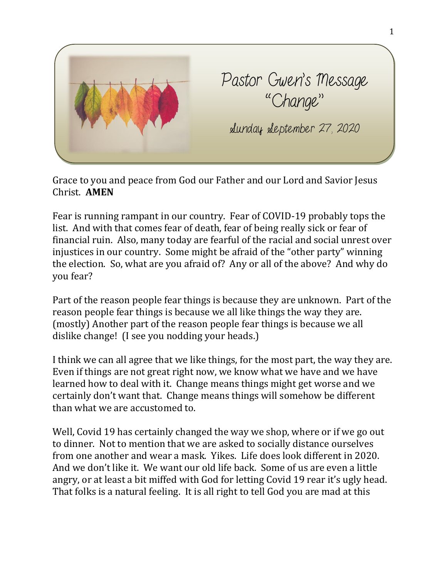

Grace to you and peace from God our Father and our Lord and Savior Jesus Christ. **AMEN**

Fear is running rampant in our country. Fear of COVID-19 probably tops the list. And with that comes fear of death, fear of being really sick or fear of financial ruin. Also, many today are fearful of the racial and social unrest over injustices in our country. Some might be afraid of the "other party" winning the election. So, what are you afraid of? Any or all of the above? And why do you fear?

Part of the reason people fear things is because they are unknown. Part of the reason people fear things is because we all like things the way they are. (mostly) Another part of the reason people fear things is because we all dislike change! (I see you nodding your heads.)

I think we can all agree that we like things, for the most part, the way they are. Even if things are not great right now, we know what we have and we have learned how to deal with it. Change means things might get worse and we certainly don't want that. Change means things will somehow be different than what we are accustomed to.

Well, Covid 19 has certainly changed the way we shop, where or if we go out to dinner. Not to mention that we are asked to socially distance ourselves from one another and wear a mask. Yikes. Life does look different in 2020. And we don't like it. We want our old life back. Some of us are even a little angry, or at least a bit miffed with God for letting Covid 19 rear it's ugly head. That folks is a natural feeling. It is all right to tell God you are mad at this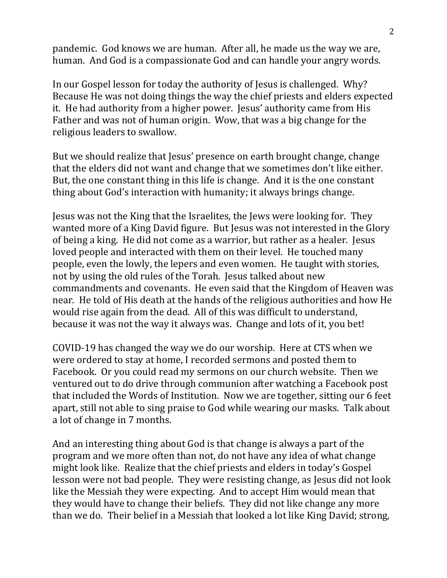pandemic. God knows we are human. After all, he made us the way we are, human. And God is a compassionate God and can handle your angry words.

In our Gospel lesson for today the authority of Jesus is challenged. Why? Because He was not doing things the way the chief priests and elders expected it. He had authority from a higher power. Jesus' authority came from His Father and was not of human origin. Wow, that was a big change for the religious leaders to swallow.

But we should realize that Jesus' presence on earth brought change, change that the elders did not want and change that we sometimes don't like either. But, the one constant thing in this life is change. And it is the one constant thing about God's interaction with humanity; it always brings change.

Jesus was not the King that the Israelites, the Jews were looking for. They wanted more of a King David figure. But Jesus was not interested in the Glory of being a king. He did not come as a warrior, but rather as a healer. Jesus loved people and interacted with them on their level. He touched many people, even the lowly, the lepers and even women. He taught with stories, not by using the old rules of the Torah. Jesus talked about new commandments and covenants. He even said that the Kingdom of Heaven was near. He told of His death at the hands of the religious authorities and how He would rise again from the dead. All of this was difficult to understand, because it was not the way it always was. Change and lots of it, you bet!

COVID-19 has changed the way we do our worship. Here at CTS when we were ordered to stay at home, I recorded sermons and posted them to Facebook. Or you could read my sermons on our church website. Then we ventured out to do drive through communion after watching a Facebook post that included the Words of Institution. Now we are together, sitting our 6 feet apart, still not able to sing praise to God while wearing our masks. Talk about a lot of change in 7 months.

And an interesting thing about God is that change is always a part of the program and we more often than not, do not have any idea of what change might look like. Realize that the chief priests and elders in today's Gospel lesson were not bad people. They were resisting change, as Jesus did not look like the Messiah they were expecting. And to accept Him would mean that they would have to change their beliefs. They did not like change any more than we do. Their belief in a Messiah that looked a lot like King David; strong,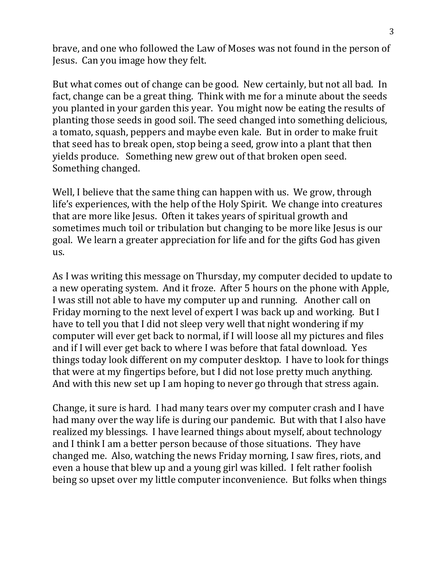brave, and one who followed the Law of Moses was not found in the person of Jesus. Can you image how they felt.

But what comes out of change can be good. New certainly, but not all bad. In fact, change can be a great thing. Think with me for a minute about the seeds you planted in your garden this year. You might now be eating the results of planting those seeds in good soil. The seed changed into something delicious, a tomato, squash, peppers and maybe even kale. But in order to make fruit that seed has to break open, stop being a seed, grow into a plant that then yields produce. Something new grew out of that broken open seed. Something changed.

Well, I believe that the same thing can happen with us. We grow, through life's experiences, with the help of the Holy Spirit. We change into creatures that are more like Jesus. Often it takes years of spiritual growth and sometimes much toil or tribulation but changing to be more like Jesus is our goal. We learn a greater appreciation for life and for the gifts God has given us.

As I was writing this message on Thursday, my computer decided to update to a new operating system. And it froze. After 5 hours on the phone with Apple, I was still not able to have my computer up and running. Another call on Friday morning to the next level of expert I was back up and working. But I have to tell you that I did not sleep very well that night wondering if my computer will ever get back to normal, if I will loose all my pictures and files and if I will ever get back to where I was before that fatal download. Yes things today look different on my computer desktop. I have to look for things that were at my fingertips before, but I did not lose pretty much anything. And with this new set up I am hoping to never go through that stress again.

Change, it sure is hard. I had many tears over my computer crash and I have had many over the way life is during our pandemic. But with that I also have realized my blessings. I have learned things about myself, about technology and I think I am a better person because of those situations. They have changed me. Also, watching the news Friday morning, I saw fires, riots, and even a house that blew up and a young girl was killed. I felt rather foolish being so upset over my little computer inconvenience. But folks when things